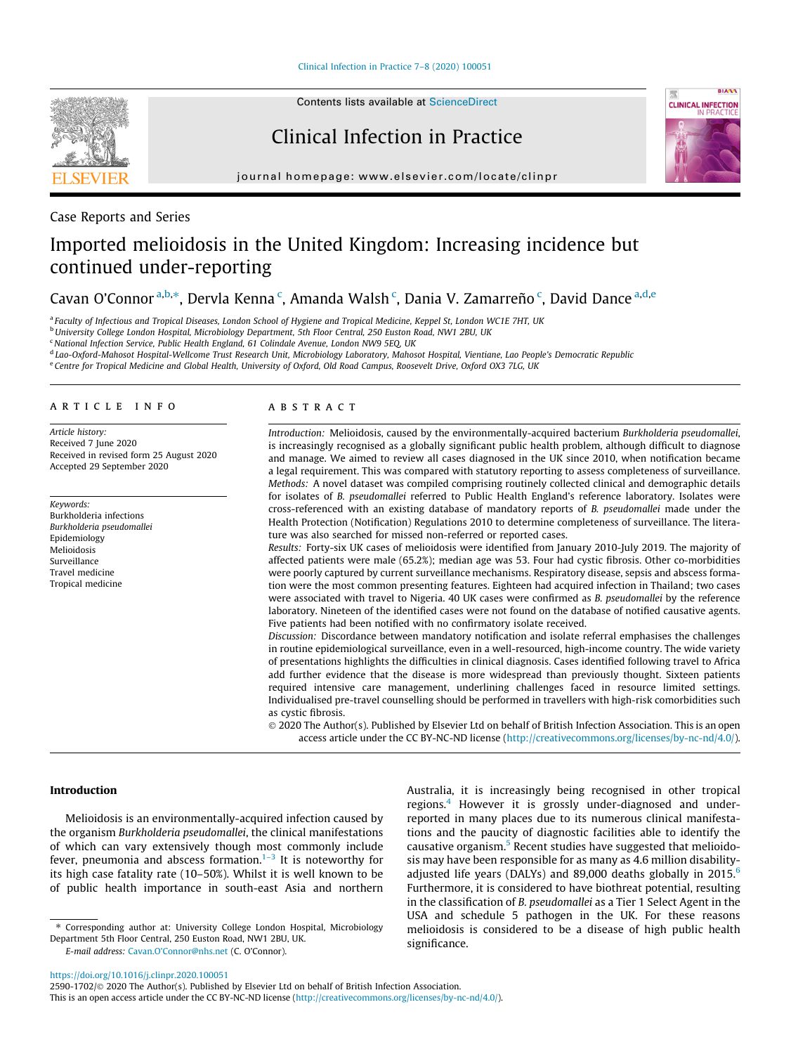[Clinical Infection in Practice 7–8 \(2020\) 100051](https://doi.org/10.1016/j.clinpr.2020.100051)



# Clinical Infection in Practice



journal homepage: [www.elsevier.com/locate/clinpr](http://www.elsevier.com/locate/clinpr)

# Case Reports and Series

# Imported melioidosis in the United Kingdom: Increasing incidence but continued under-reporting

Cavan O'Connor <sup>a,b,</sup>\*, Dervla Kenna <sup>c</sup>, Amanda Walsh <sup>c</sup>, Dania V. Zamarreño <sup>c</sup>, David Dance <sup>a,d,e</sup>

<sup>a</sup> Faculty of Infectious and Tropical Diseases, London School of Hygiene and Tropical Medicine, Keppel St, London WC1E 7HT, UK

b University College London Hospital, Microbiology Department, 5th Floor Central, 250 Euston Road, NW1 2BU, UK

<sup>c</sup> National Infection Service, Public Health England, 61 Colindale Avenue, London NW9 5EQ, UK

<sup>d</sup> Lao-Oxford-Mahosot Hospital-Wellcome Trust Research Unit, Microbiology Laboratory, Mahosot Hospital, Vientiane, Lao People's Democratic Republic

e Centre for Tropical Medicine and Global Health, University of Oxford, Old Road Campus, Roosevelt Drive, Oxford OX3 7LG, UK

# article info

Article history: Received 7 June 2020 Received in revised form 25 August 2020 Accepted 29 September 2020

Keywords: Burkholderia infections Burkholderia pseudomallei Epidemiology Melioidosis Surveillance Travel medicine Tropical medicine

# **ABSTRACT**

Introduction: Melioidosis, caused by the environmentally-acquired bacterium Burkholderia pseudomallei, is increasingly recognised as a globally significant public health problem, although difficult to diagnose and manage. We aimed to review all cases diagnosed in the UK since 2010, when notification became a legal requirement. This was compared with statutory reporting to assess completeness of surveillance. Methods: A novel dataset was compiled comprising routinely collected clinical and demographic details for isolates of B. pseudomallei referred to Public Health England's reference laboratory. Isolates were cross-referenced with an existing database of mandatory reports of B. pseudomallei made under the Health Protection (Notification) Regulations 2010 to determine completeness of surveillance. The literature was also searched for missed non-referred or reported cases.

Results: Forty-six UK cases of melioidosis were identified from January 2010-July 2019. The majority of affected patients were male (65.2%); median age was 53. Four had cystic fibrosis. Other co-morbidities were poorly captured by current surveillance mechanisms. Respiratory disease, sepsis and abscess formation were the most common presenting features. Eighteen had acquired infection in Thailand; two cases were associated with travel to Nigeria. 40 UK cases were confirmed as B. pseudomallei by the reference laboratory. Nineteen of the identified cases were not found on the database of notified causative agents. Five patients had been notified with no confirmatory isolate received.

Discussion: Discordance between mandatory notification and isolate referral emphasises the challenges in routine epidemiological surveillance, even in a well-resourced, high-income country. The wide variety of presentations highlights the difficulties in clinical diagnosis. Cases identified following travel to Africa add further evidence that the disease is more widespread than previously thought. Sixteen patients required intensive care management, underlining challenges faced in resource limited settings. Individualised pre-travel counselling should be performed in travellers with high-risk comorbidities such as cystic fibrosis.

 2020 The Author(s). Published by Elsevier Ltd on behalf of British Infection Association. This is an open access article under the CC BY-NC-ND license (<http://creativecommons.org/licenses/by-nc-nd/4.0/>).

# Introduction

Melioidosis is an environmentally-acquired infection caused by the organism Burkholderia pseudomallei, the clinical manifestations of which can vary extensively though most commonly include fever, pneumonia and abscess formation.<sup>1-3</sup> It is noteworthy for its high case fatality rate (10–50%). Whilst it is well known to be of public health importance in south-east Asia and northern

E-mail address: [Cavan.O'Connor@nhs.net](mailto:Cavan.O'Connor@nhs.net) (C. O'Connor).

Australia, it is increasingly being recognised in other tropical regions[.4](#page-3-0) However it is grossly under-diagnosed and underreported in many places due to its numerous clinical manifestations and the paucity of diagnostic facilities able to identify the causative organism[.5](#page-3-0) Recent studies have suggested that melioidosis may have been responsible for as many as 4.6 million disabilityadjusted life years (DALYs) and 89,000 deaths globally in  $2015<sup>6</sup>$ Furthermore, it is considered to have biothreat potential, resulting in the classification of B. pseudomallei as a Tier 1 Select Agent in the USA and schedule 5 pathogen in the UK. For these reasons melioidosis is considered to be a disease of high public health significance.

<https://doi.org/10.1016/j.clinpr.2020.100051> 2590-1702/© 2020 The Author(s). Published by Elsevier Ltd on behalf of British Infection Association.

This is an open access article under the CC BY-NC-ND license ([http://creativecommons.org/licenses/by-nc-nd/4.0/\)](http://creativecommons.org/licenses/by-nc-nd/4.0/).

<sup>⇑</sup> Corresponding author at: University College London Hospital, Microbiology Department 5th Floor Central, 250 Euston Road, NW1 2BU, UK.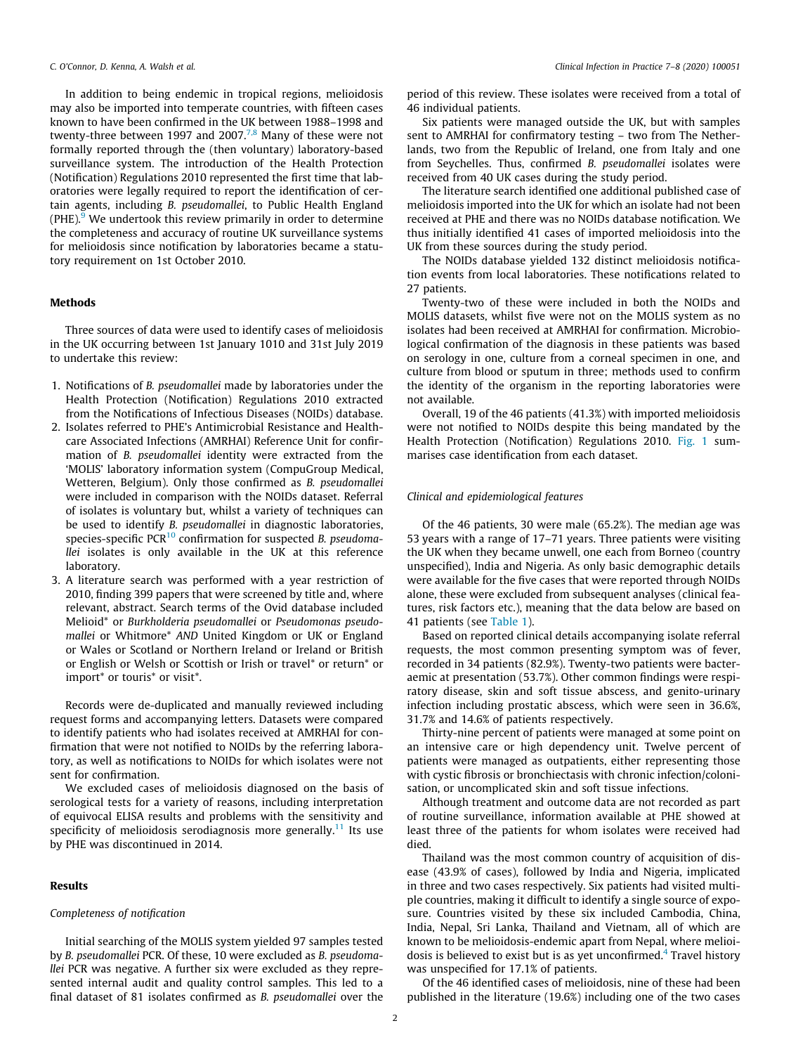In addition to being endemic in tropical regions, melioidosis may also be imported into temperate countries, with fifteen cases known to have been confirmed in the UK between 1988–1998 and twenty-three between 1997 and 2007.<sup>[7,8](#page-3-0)</sup> Many of these were not formally reported through the (then voluntary) laboratory-based surveillance system. The introduction of the Health Protection (Notification) Regulations 2010 represented the first time that laboratories were legally required to report the identification of certain agents, including B. pseudomallei, to Public Health England (PHE). $9$  We undertook this review primarily in order to determine the completeness and accuracy of routine UK surveillance systems for melioidosis since notification by laboratories became a statutory requirement on 1st October 2010.

# Methods

Three sources of data were used to identify cases of melioidosis in the UK occurring between 1st January 1010 and 31st July 2019 to undertake this review:

- 1. Notifications of B. pseudomallei made by laboratories under the Health Protection (Notification) Regulations 2010 extracted from the Notifications of Infectious Diseases (NOIDs) database.
- 2. Isolates referred to PHE's Antimicrobial Resistance and Healthcare Associated Infections (AMRHAI) Reference Unit for confirmation of B. pseudomallei identity were extracted from the 'MOLIS' laboratory information system (CompuGroup Medical, Wetteren, Belgium). Only those confirmed as B. pseudomallei were included in comparison with the NOIDs dataset. Referral of isolates is voluntary but, whilst a variety of techniques can be used to identify B. pseudomallei in diagnostic laboratories, species-specific  $PCR^{10}$  $PCR^{10}$  $PCR^{10}$  confirmation for suspected B. pseudomallei isolates is only available in the UK at this reference laboratory.
- 3. A literature search was performed with a year restriction of 2010, finding 399 papers that were screened by title and, where relevant, abstract. Search terms of the Ovid database included Melioid\* or Burkholderia pseudomallei or Pseudomonas pseudomallei or Whitmore\* AND United Kingdom or UK or England or Wales or Scotland or Northern Ireland or Ireland or British or English or Welsh or Scottish or Irish or travel\* or return\* or import\* or touris\* or visit\*.

Records were de-duplicated and manually reviewed including request forms and accompanying letters. Datasets were compared to identify patients who had isolates received at AMRHAI for confirmation that were not notified to NOIDs by the referring laboratory, as well as notifications to NOIDs for which isolates were not sent for confirmation.

We excluded cases of melioidosis diagnosed on the basis of serological tests for a variety of reasons, including interpretation of equivocal ELISA results and problems with the sensitivity and specificity of melioidosis serodiagnosis more generally.<sup>11</sup> Its use by PHE was discontinued in 2014.

## Results

#### Completeness of notification

Initial searching of the MOLIS system yielded 97 samples tested by B. pseudomallei PCR. Of these, 10 were excluded as B. pseudomallei PCR was negative. A further six were excluded as they represented internal audit and quality control samples. This led to a final dataset of 81 isolates confirmed as B. pseudomallei over the

period of this review. These isolates were received from a total of 46 individual patients.

Six patients were managed outside the UK, but with samples sent to AMRHAI for confirmatory testing – two from The Netherlands, two from the Republic of Ireland, one from Italy and one from Seychelles. Thus, confirmed B. pseudomallei isolates were received from 40 UK cases during the study period.

The literature search identified one additional published case of melioidosis imported into the UK for which an isolate had not been received at PHE and there was no NOIDs database notification. We thus initially identified 41 cases of imported melioidosis into the UK from these sources during the study period.

The NOIDs database yielded 132 distinct melioidosis notification events from local laboratories. These notifications related to 27 patients.

Twenty-two of these were included in both the NOIDs and MOLIS datasets, whilst five were not on the MOLIS system as no isolates had been received at AMRHAI for confirmation. Microbiological confirmation of the diagnosis in these patients was based on serology in one, culture from a corneal specimen in one, and culture from blood or sputum in three; methods used to confirm the identity of the organism in the reporting laboratories were not available.

Overall, 19 of the 46 patients (41.3%) with imported melioidosis were not notified to NOIDs despite this being mandated by the Health Protection (Notification) Regulations 2010. [Fig. 1](#page-2-0) summarises case identification from each dataset.

#### Clinical and epidemiological features

Of the 46 patients, 30 were male (65.2%). The median age was 53 years with a range of 17–71 years. Three patients were visiting the UK when they became unwell, one each from Borneo (country unspecified), India and Nigeria. As only basic demographic details were available for the five cases that were reported through NOIDs alone, these were excluded from subsequent analyses (clinical features, risk factors etc.), meaning that the data below are based on 41 patients (see [Table 1\)](#page-3-0).

Based on reported clinical details accompanying isolate referral requests, the most common presenting symptom was of fever, recorded in 34 patients (82.9%). Twenty-two patients were bacteraemic at presentation (53.7%). Other common findings were respiratory disease, skin and soft tissue abscess, and genito-urinary infection including prostatic abscess, which were seen in 36.6%, 31.7% and 14.6% of patients respectively.

Thirty-nine percent of patients were managed at some point on an intensive care or high dependency unit. Twelve percent of patients were managed as outpatients, either representing those with cystic fibrosis or bronchiectasis with chronic infection/colonisation, or uncomplicated skin and soft tissue infections.

Although treatment and outcome data are not recorded as part of routine surveillance, information available at PHE showed at least three of the patients for whom isolates were received had died.

Thailand was the most common country of acquisition of disease (43.9% of cases), followed by India and Nigeria, implicated in three and two cases respectively. Six patients had visited multiple countries, making it difficult to identify a single source of exposure. Countries visited by these six included Cambodia, China, India, Nepal, Sri Lanka, Thailand and Vietnam, all of which are known to be melioidosis-endemic apart from Nepal, where melioi-dosis is believed to exist but is as yet unconfirmed.<sup>[4](#page-3-0)</sup> Travel history was unspecified for 17.1% of patients.

Of the 46 identified cases of melioidosis, nine of these had been published in the literature (19.6%) including one of the two cases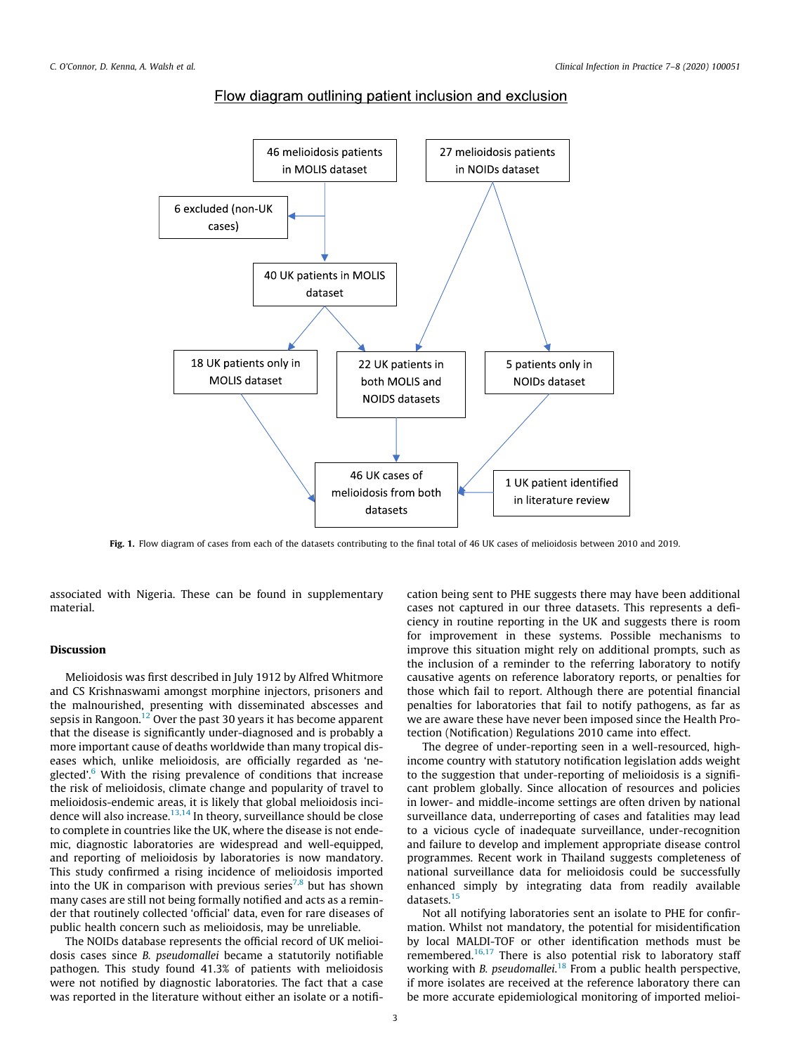<span id="page-2-0"></span>

# Flow diagram outlining patient inclusion and exclusion

Fig. 1. Flow diagram of cases from each of the datasets contributing to the final total of 46 UK cases of melioidosis between 2010 and 2019.

associated with Nigeria. These can be found in supplementary material.

# Discussion

Melioidosis was first described in July 1912 by Alfred Whitmore and CS Krishnaswami amongst morphine injectors, prisoners and the malnourished, presenting with disseminated abscesses and sepsis in Rangoon.<sup>12</sup> Over the past 30 years it has become apparent that the disease is significantly under-diagnosed and is probably a more important cause of deaths worldwide than many tropical diseases which, unlike melioidosis, are officially regarded as 'neglected'. $6$  With the rising prevalence of conditions that increase the risk of melioidosis, climate change and popularity of travel to melioidosis-endemic areas, it is likely that global melioidosis incidence will also increase.<sup>13,14</sup> In theory, surveillance should be close to complete in countries like the UK, where the disease is not endemic, diagnostic laboratories are widespread and well-equipped, and reporting of melioidosis by laboratories is now mandatory. This study confirmed a rising incidence of melioidosis imported into the UK in comparison with previous series<sup>7,8</sup> but has shown many cases are still not being formally notified and acts as a reminder that routinely collected 'official' data, even for rare diseases of public health concern such as melioidosis, may be unreliable.

The NOIDs database represents the official record of UK melioidosis cases since B. pseudomallei became a statutorily notifiable pathogen. This study found 41.3% of patients with melioidosis were not notified by diagnostic laboratories. The fact that a case was reported in the literature without either an isolate or a notification being sent to PHE suggests there may have been additional cases not captured in our three datasets. This represents a deficiency in routine reporting in the UK and suggests there is room for improvement in these systems. Possible mechanisms to improve this situation might rely on additional prompts, such as the inclusion of a reminder to the referring laboratory to notify causative agents on reference laboratory reports, or penalties for those which fail to report. Although there are potential financial penalties for laboratories that fail to notify pathogens, as far as we are aware these have never been imposed since the Health Protection (Notification) Regulations 2010 came into effect.

The degree of under-reporting seen in a well-resourced, highincome country with statutory notification legislation adds weight to the suggestion that under-reporting of melioidosis is a significant problem globally. Since allocation of resources and policies in lower- and middle-income settings are often driven by national surveillance data, underreporting of cases and fatalities may lead to a vicious cycle of inadequate surveillance, under-recognition and failure to develop and implement appropriate disease control programmes. Recent work in Thailand suggests completeness of national surveillance data for melioidosis could be successfully enhanced simply by integrating data from readily available datasets.[15](#page-4-0)

Not all notifying laboratories sent an isolate to PHE for confirmation. Whilst not mandatory, the potential for misidentification by local MALDI-TOF or other identification methods must be remembered. $16,17$  There is also potential risk to laboratory staff working with *B. pseudomallei.*<sup>[18](#page-4-0)</sup> From a public health perspective, if more isolates are received at the reference laboratory there can be more accurate epidemiological monitoring of imported melioi-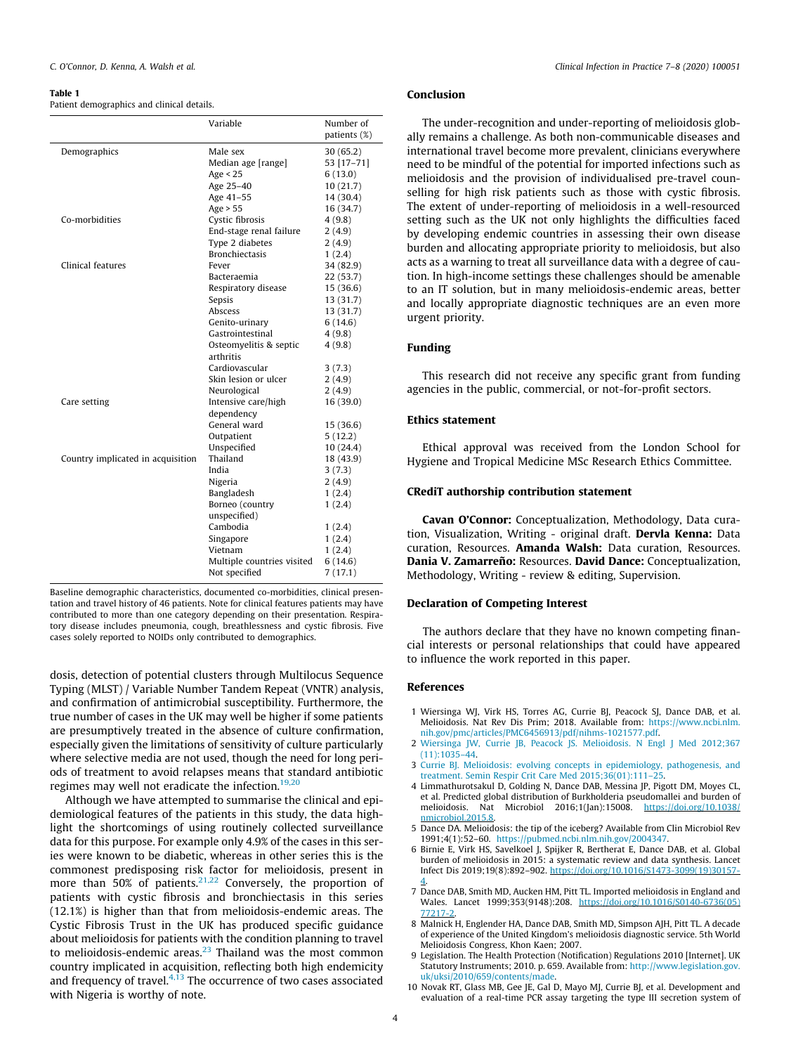#### <span id="page-3-0"></span>Table 1

Patient demographics and clinical details.

|                                   | Variable                   | Number of<br>patients (%) |
|-----------------------------------|----------------------------|---------------------------|
| Demographics                      | Male sex                   | 30(65.2)                  |
|                                   | Median age [range]         | 53 [17-71]                |
|                                   | Age $< 25$                 | 6(13.0)                   |
|                                   | Age 25-40                  | 10(21.7)                  |
|                                   | Age 41-55                  | 14 (30.4)                 |
|                                   | Age > 55                   | 16 (34.7)                 |
| Co-morbidities                    | Cystic fibrosis            | 4(9.8)                    |
|                                   | End-stage renal failure    | 2(4.9)                    |
|                                   | Type 2 diabetes            | 2(4.9)                    |
|                                   | <b>Bronchiectasis</b>      | 1(2.4)                    |
| Clinical features                 | Fever                      | 34 (82.9)                 |
|                                   | Bacteraemia                | 22 (53.7)                 |
|                                   | Respiratory disease        | 15(36.6)                  |
|                                   | Sepsis                     | 13(31.7)                  |
|                                   | Abscess                    | 13 (31.7)                 |
|                                   | Genito-urinary             | 6(14.6)                   |
|                                   | Gastrointestinal           | 4(9.8)                    |
|                                   | Osteomyelitis & septic     | 4(9.8)                    |
|                                   | arthritis                  |                           |
|                                   | Cardiovascular             | 3(7.3)                    |
|                                   | Skin lesion or ulcer       | 2(4.9)                    |
|                                   | Neurological               | 2(4.9)                    |
| Care setting                      | Intensive care/high        | 16 (39.0)                 |
|                                   | dependency<br>General ward |                           |
|                                   |                            | 15 (36.6)                 |
|                                   | Outpatient<br>Unspecified  | 5(12.2)<br>10(24.4)       |
| Country implicated in acquisition | Thailand                   | 18 (43.9)                 |
|                                   | India                      | 3(7.3)                    |
|                                   | Nigeria                    | 2(4.9)                    |
|                                   | Bangladesh                 | 1(2.4)                    |
|                                   | Borneo (country            | 1(2.4)                    |
|                                   | unspecified)               |                           |
|                                   | Cambodia                   | 1(2.4)                    |
|                                   | Singapore                  | 1(2.4)                    |
|                                   | Vietnam                    | 1(2.4)                    |
|                                   | Multiple countries visited | 6(14.6)                   |
|                                   | Not specified              | 7(17.1)                   |

Baseline demographic characteristics, documented co-morbidities, clinical presentation and travel history of 46 patients. Note for clinical features patients may have contributed to more than one category depending on their presentation. Respiratory disease includes pneumonia, cough, breathlessness and cystic fibrosis. Five cases solely reported to NOIDs only contributed to demographics.

dosis, detection of potential clusters through Multilocus Sequence Typing (MLST) / Variable Number Tandem Repeat (VNTR) analysis, and confirmation of antimicrobial susceptibility. Furthermore, the true number of cases in the UK may well be higher if some patients are presumptively treated in the absence of culture confirmation, especially given the limitations of sensitivity of culture particularly where selective media are not used, though the need for long periods of treatment to avoid relapses means that standard antibiotic regimes may well not eradicate the infection.<sup>[19,20](#page-4-0)</sup>

Although we have attempted to summarise the clinical and epidemiological features of the patients in this study, the data highlight the shortcomings of using routinely collected surveillance data for this purpose. For example only 4.9% of the cases in this series were known to be diabetic, whereas in other series this is the commonest predisposing risk factor for melioidosis, present in more than 50% of patients.<sup>[21,22](#page-4-0)</sup> Conversely, the proportion of patients with cystic fibrosis and bronchiectasis in this series (12.1%) is higher than that from melioidosis-endemic areas. The Cystic Fibrosis Trust in the UK has produced specific guidance about melioidosis for patients with the condition planning to travel to melioidosis-endemic areas. $23$  Thailand was the most common country implicated in acquisition, reflecting both high endemicity and frequency of travel. $4,13$  The occurrence of two cases associated with Nigeria is worthy of note.

# Conclusion

The under-recognition and under-reporting of melioidosis globally remains a challenge. As both non-communicable diseases and international travel become more prevalent, clinicians everywhere need to be mindful of the potential for imported infections such as melioidosis and the provision of individualised pre-travel counselling for high risk patients such as those with cystic fibrosis. The extent of under-reporting of melioidosis in a well-resourced setting such as the UK not only highlights the difficulties faced by developing endemic countries in assessing their own disease burden and allocating appropriate priority to melioidosis, but also acts as a warning to treat all surveillance data with a degree of caution. In high-income settings these challenges should be amenable to an IT solution, but in many melioidosis-endemic areas, better and locally appropriate diagnostic techniques are an even more urgent priority.

#### Funding

This research did not receive any specific grant from funding agencies in the public, commercial, or not-for-profit sectors.

## Ethics statement

Ethical approval was received from the London School for Hygiene and Tropical Medicine MSc Research Ethics Committee.

# CRediT authorship contribution statement

Cavan O'Connor: Conceptualization, Methodology, Data curation, Visualization, Writing - original draft. Dervla Kenna: Data curation, Resources. Amanda Walsh: Data curation, Resources. Dania V. Zamarreño: Resources. David Dance: Conceptualization, Methodology, Writing - review & editing, Supervision.

#### Declaration of Competing Interest

The authors declare that they have no known competing financial interests or personal relationships that could have appeared to influence the work reported in this paper.

### References

- 1 Wiersinga WJ, Virk HS, Torres AG, Currie BJ, Peacock SJ, Dance DAB, et al. Melioidosis. Nat Rev Dis Prim; 2018. Available from: [https://www.ncbi.nlm.](https://www.ncbi.nlm.nih.gov/pmc/articles/PMC6456913/pdf/nihms-1021577.pdf) [nih.gov/pmc/articles/PMC6456913/pdf/nihms-1021577.pdf.](https://www.ncbi.nlm.nih.gov/pmc/articles/PMC6456913/pdf/nihms-1021577.pdf)
- 2 [Wiersinga JW, Currie JB, Peacock JS. Melioidosis. N Engl J Med 2012;367](http://refhub.elsevier.com/S2590-1702(20)30038-8/h0010) [\(11\):1035–44](http://refhub.elsevier.com/S2590-1702(20)30038-8/h0010).
- 3 [Currie BJ. Melioidosis: evolving concepts in epidemiology, pathogenesis, and](http://refhub.elsevier.com/S2590-1702(20)30038-8/h0015) [treatment. Semin Respir Crit Care Med 2015;36\(01\):111–25.](http://refhub.elsevier.com/S2590-1702(20)30038-8/h0015)
- 4 Limmathurotsakul D, Golding N, Dance DAB, Messina JP, Pigott DM, Moyes CL, et al. Predicted global distribution of Burkholderia pseudomallei and burden of melioidosis. Nat Microbiol 2016;1(Jan):15008. [https://doi.org/10.1038/](https://doi.org/10.1038/nmicrobiol.2015.8) [nmicrobiol.2015.8.](https://doi.org/10.1038/nmicrobiol.2015.8)
- 5 Dance DA. Melioidosis: the tip of the iceberg? Available from Clin Microbiol Rev 1991;4(1):52–60. <https://pubmed.ncbi.nlm.nih.gov/2004347>.
- 6 Birnie E, Virk HS, Savelkoel J, Spijker R, Bertherat E, Dance DAB, et al. Global burden of melioidosis in 2015: a systematic review and data synthesis. Lancet Infect Dis 2019:19(8):892-902. https://doi.org/10.1016/S1473 [4.](https://doi.org/10.1016/S1473-3099(19)30157-4)
- 7 Dance DAB, Smith MD, Aucken HM, Pitt TL. Imported melioidosis in England and Wales. Lancet 1999;353(9148):208. [https://doi.org/10.1016/S0140-6736\(05\)](https://doi.org/10.1016/S0140-6736(05)77217-2) [77217-2](https://doi.org/10.1016/S0140-6736(05)77217-2).
- 8 Malnick H, Englender HA, Dance DAB, Smith MD, Simpson AJH, Pitt TL. A decade of experience of the United Kingdom's melioidosis diagnostic service. 5th World Melioidosis Congress, Khon Kaen; 2007.
- 9 Legislation. The Health Protection (Notification) Regulations 2010 [Internet]. UK Statutory Instruments; 2010. p. 659. Available from: [http://www.legislation.gov.](http://www.legislation.gov.uk/uksi/2010/659/contents/made) [uk/uksi/2010/659/contents/made.](http://www.legislation.gov.uk/uksi/2010/659/contents/made)
- 10 Novak RT, Glass MB, Gee JE, Gal D, Mayo MJ, Currie BJ, et al. Development and evaluation of a real-time PCR assay targeting the type III secretion system of